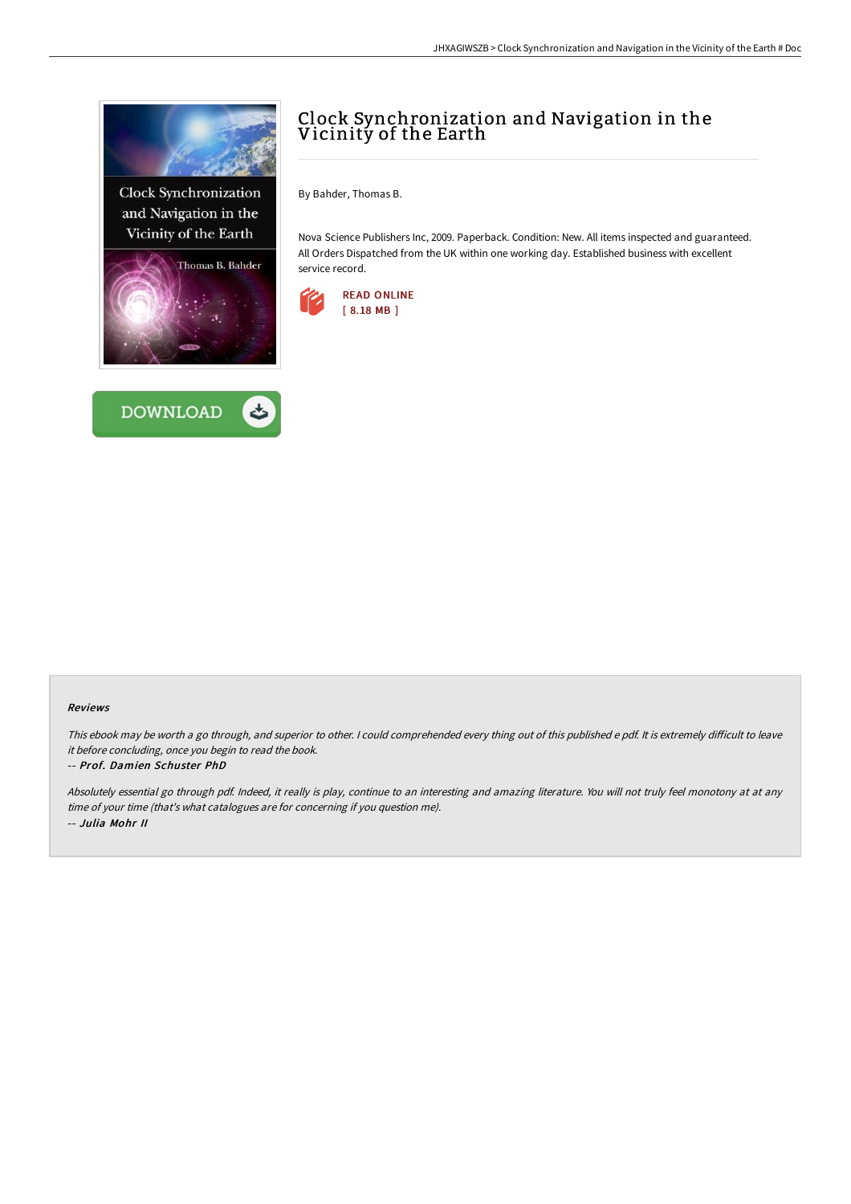

**Clock Synchronization** and Navigation in the Vicinity of the Earth





# Clock Synchronization and Navigation in the Vicinity of the Earth

By Bahder, Thomas B.

Nova Science Publishers Inc, 2009. Paperback. Condition: New. All items inspected and guaranteed. All Orders Dispatched from the UK within one working day. Established business with excellent service record.



### Reviews

This ebook may be worth a go through, and superior to other. I could comprehended every thing out of this published e pdf. It is extremely difficult to leave it before concluding, once you begin to read the book.

#### -- Prof. Damien Schuster PhD

Absolutely essential go through pdf. Indeed, it really is play, continue to an interesting and amazing literature. You will not truly feel monotony at at any time of your time (that's what catalogues are for concerning if you question me). -- Julia Mohr II